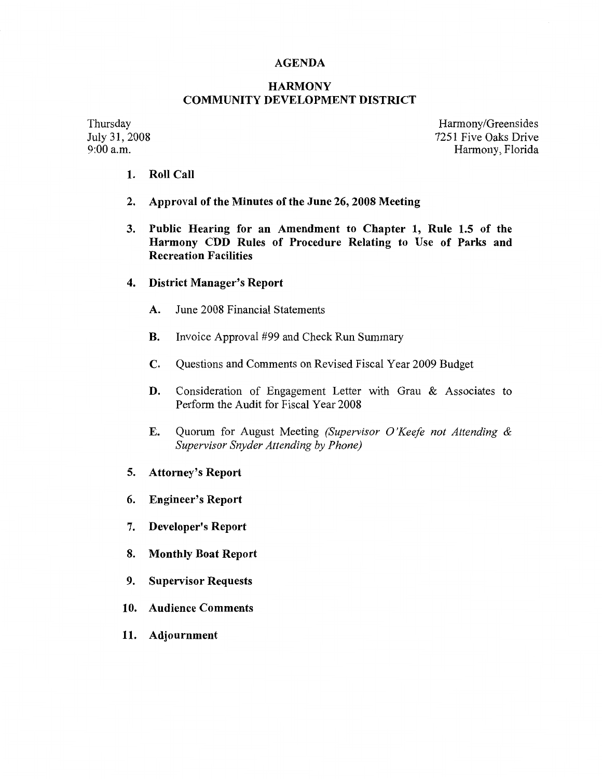#### **AGENDA**

#### **HARMONY COMMUNITY DEVELOPMENT DISTRICT**

Thursday July 31, 2008<br>9:00 a.m.

Harmony/Greensides 7251 Five Oaks Drive Harmony, Florida

- **1. Roll Call**
- **2. Approval of the Minutes of the June 26, 2008 Meeting**
- **3. Public Hearing for an Amendment to Chapter 1, Rule 1.5 of the Harmony CDD Rules of Procedure Relating to Use of Parks and Recreation Facilities**
- **4. District Manager's Report** 
	- **A.** June 2008 Financial Statements
	- **B.** Invoice Approval #99 and Check Run Summary
	- **C.** Questions and Comments on Revised Fiscal Year 2009 Budget
	- **D.** Consideration of Engagement Letter with Grau & Associates to Perform the Audit for Fiscal Year 2008
	- **E.** Quorum for August Meeting *(Supervisor O 'Keefe not Attending & Supervisor Snyder Attending by Phone)*
- **5. Attorney's Report**
- **6. Engineer's Report**
- 7. **Developer's Report**
- **8. Monthly Boat Report**
- **9. Supervisor Requests**
- **10. Audience Comments**
- **11. Adjournment**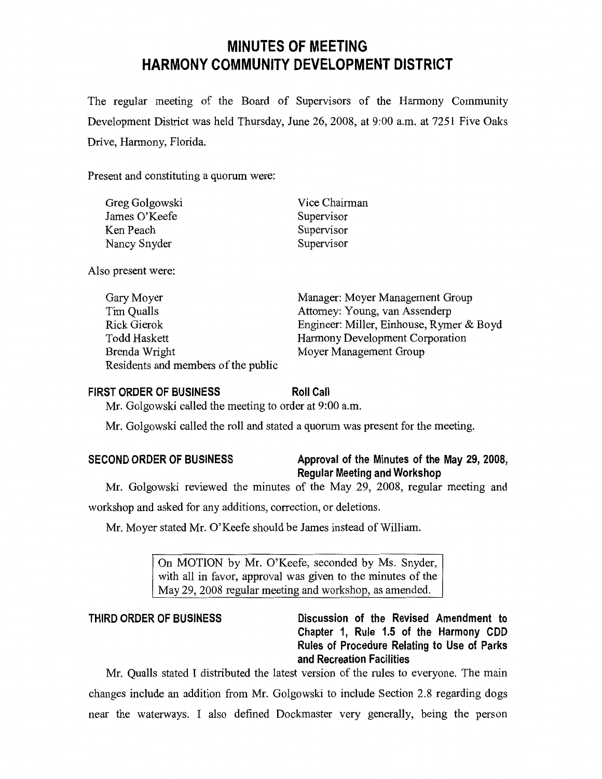# **MINUTES OF MEETING HARMONY COMMUNITY DEVELOPMENT DISTRICT**

The regular meeting of the Board of Supervisors of the Harmony Community Development District was held Thursday, June 26, 2008, at 9:00 a.m. at 7251 Five Oaks Drive, Harmony, Florida.

Present and constituting a quorum were:

| Greg Golgowski | Vice Chairman |  |  |
|----------------|---------------|--|--|
| James O'Keefe  | Supervisor    |  |  |
| Ken Peach      | Supervisor    |  |  |
| Nancy Snyder   | Supervisor    |  |  |
|                |               |  |  |

Also present were:

| Gary Moyer                          | Manager: Moyer Management Group          |
|-------------------------------------|------------------------------------------|
| Tim Qualls                          | Attorney: Young, van Assenderp           |
| Rick Gierok                         | Engineer: Miller, Einhouse, Rymer & Boyd |
| Todd Haskett                        | Harmony Development Corporation          |
| Brenda Wright                       | Moyer Management Group                   |
| Residents and members of the public |                                          |

#### **FIRST ORDER OF BUSINESS**

**Roll Call** 

Mr. Golgowski called the meeting to order at 9:00 a.m.

Mr. Golgowski called the roll and stated a quorum was present for the meeting.

| <b>SECOND ORDER OF BUSINESS</b> |  |  |  |  |
|---------------------------------|--|--|--|--|
|---------------------------------|--|--|--|--|

## **SECOND ORDER OF BUSINESS Approval of the Minutes of the May 29, 2008, Regular Meeting and Workshop**

Mr. Golgowski reviewed the minutes of the May 29, 2008, regular meeting and

workshop and asked for any additions, correction, or deletions.

Mr. Moyer stated Mr. O'Keefe should be James instead of William.

On MOTION by Mr. O'Keefe, seconded by Ms. Snyder, with all in favor, approval was given to the minutes of the May 29, 2008 regular meeting and workshop, as amended.

**THIRD ORDER OF BUSINESS Discussion of the Revised Amendment to Chapter 1, Rule 1.5 of the Harmony CDD Rules of Procedure Relating to Use of Parks and Recreation Facilities** 

Mr. Qualls stated I distributed the latest version of the rules to everyone. The main changes include an addition from Mr. Golgowski to include Section 2.8 regarding dogs near the waterways. I also defined Dockmaster very generally, being the person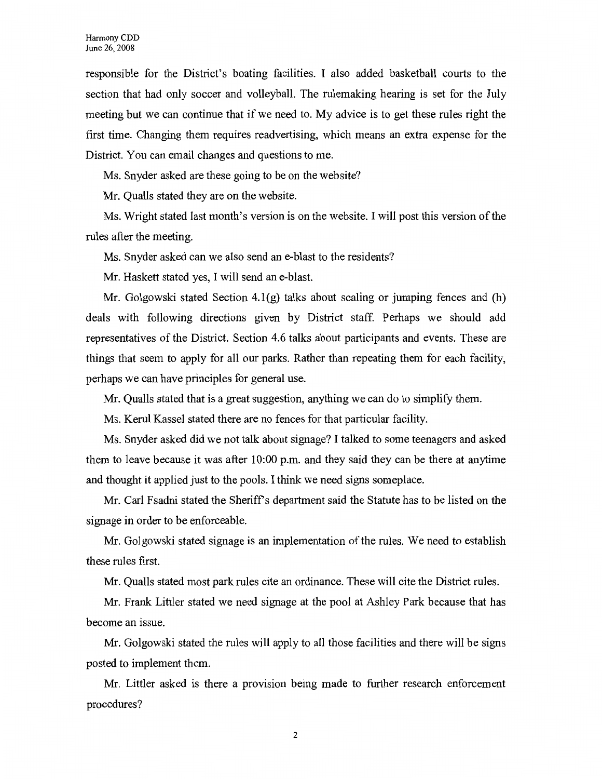responsible for the District's boating facilities. I also added basketball courts to the section that had only soccer and volleyball. The rulemaking hearing is set for the July meeting but we can continue that if we need to. My advice is to get these rules right the first time. Changing them requires readvertising, which means an extra expense for the District. You can email changes and questions to me.

Ms. Snyder asked are these going to be on the website?

Mr. Qualls stated they are on the website.

Ms. Wright stated last month's version is on the website. I will post this version of the rules after the meeting.

Ms. Snyder asked can we also send an e-blast to the residents?

Mr. Haskett stated yes, I will send an e-blast.

Mr. Golgowski stated Section  $4.1(g)$  talks about scaling or jumping fences and (h) deals with following directions given by District staff. Perhaps we should add representatives of the District. Section 4.6 talks about participants and events. These are things that seem to apply for all our parks. Rather than repeating them for each facility, perhaps we can have principles for general use.

Mr. Qualls stated that is a great suggestion, anything we can do to simplify them.

Ms. Kerul Kassel stated there are no fences for that particular facility.

Ms. Snyder asked did we not talk about signage? I talked to some teenagers and asked them to leave because it was after 10:00 p.m. and they said they can be there at anytime and thought it applied just to the pools. I think we need signs someplace.

Mr. Carl Fsadni stated the Sheriff's department said the Statute has to be listed on the signage in order to be enforceable.

Mr. Golgowski stated signage is an implementation of the rules. We need to establish these rules first.

Mr. Qualls stated most park rules cite an ordinance. These will cite the District rules.

Mr. Frank Littler stated we need signage at the pool at Ashley Park because that has become an issue.

Mr. Golgowski stated the rules will apply to all those facilities and there will be signs posted to implement them.

Mr. Littler asked is there a provision being made to further research enforcement procedures?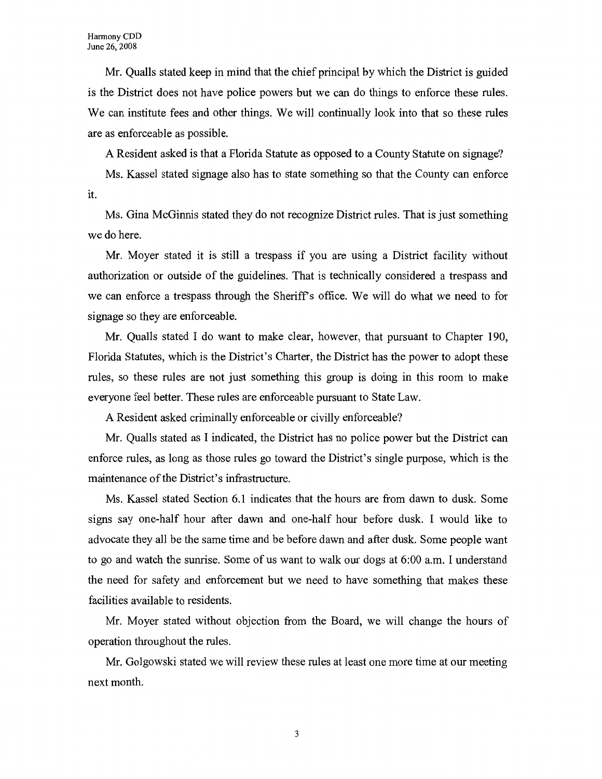Mr. Qualls stated keep in mind that the chief principal by which the District is guided is the District does not have police powers but we can do things to enforce these rules. We can institute fees and other things. We will continually look into that so these rules are as enforceable as possible.

A Resident asked is that a Florida Statute as opposed to a County Statute on signage?

Ms. Kassel stated signage also has to state something so that the County can enforce it.

Ms. Gina McGinnis stated they do not recognize District rules. That is just something we do here.

Mr. Moyer stated it is still a trespass if you are using a District facility without authorization or outside of the guidelines. That is technically considered a trespass and we can enforce a trespass through the Sheriffs office. We will do what we need to for signage so they are enforceable.

Mr. Qualls stated I do want to make clear, however, that pursuant to Chapter 190, Florida Statutes, which is the District's Charter, the District has the power to adopt these rules, so these rules are not just something this group is doing in this room to make everyone feel better. These rules are enforceable pursuant to State Law.

A Resident asked criminally enforceable or civilly enforceable?

Mr. Qualls stated as I indicated, the District has no police power but the District can enforce rules, as long as those rules go toward the District's single purpose, which is the maintenance of the District's infrastructure.

Ms. Kassel stated Section 6.1 indicates that the hours are from dawn to dusk. Some signs say one-half hour after dawn and one-half hour before dusk. I would like to advocate they all be the same time and be before dawn and after dusk. Some people want to go and watch the sunrise. Some of us want to walk our dogs at 6:00 a.m. I understand the need for safety and enforcement but we need to have something that makes these facilities available to residents.

Mr. Moyer stated without objection from the Board, we will change the hours of operation throughout the rules.

Mr. Golgowski stated we will review these rules at least one more time at our meeting next month.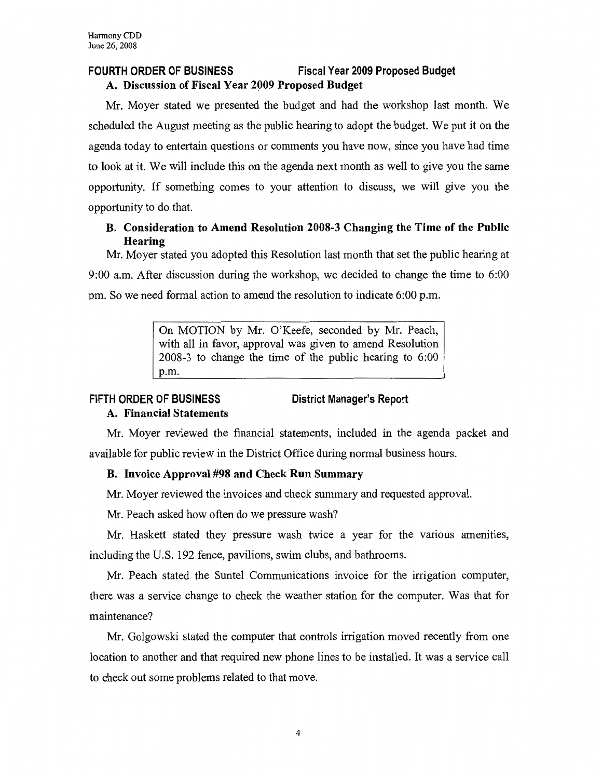## **FOURTH ORDER OF BUSINESS Fiscal Year 2009 Proposed Budget A. Discussion of Fiscal Year 2009 Proposed Budget**

Mr. Moyer stated we presented the budget and had the workshop last month. We scheduled the August meeting as the public hearing to adopt the budget. We put it on the agenda today to entertain questions or comments you have now, since you have had time to look at it. We will include this on the agenda next month as well to give you the same opportunity. If something comes to your attention to discuss, we will give you the opportunity to do that.

## **B. Consideration to Amend Resolution 2008-3 Changing the Time of the Public Hearing**

Mr. Moyer stated you adopted this Resolution last month that set the public hearing at 9:00 a.m. After discussion during the workshop, we decided to change the time to 6:00 pm. So we need formal action to amend the resolution to indicate 6:00 p.m.

> On MOTION by Mr. O'Keefe, seconded by Mr. Peach, with all in favor, approval was given to amend Resolution 2008-3 to change the time of the public hearing to 6:00 p.m.

## **FIFTH ORDER OF BUSINESS**

## **District Manager's Report**

## **A. Financial Statements**

Mr. Moyer reviewed the financial statements, included in the agenda packet and available for public review in the District Office during normal business hours.

## **B. Invoice Approval #98 and Check Run Summary**

Mr. Moyer reviewed the invoices and check summary and requested approval.

Mr. Peach asked how often do we pressure wash?

Mr. Haskett stated they pressure wash twice a year for the various amenities, including the U.S. 192 fence, pavilions, swim clubs, and bathrooms.

Mr. Peach stated the Suntel Communications invoice for the irrigation computer, there was a service change to check the weather station for the computer. Was that for maintenance?

Mr. Golgowski stated the computer that controls irrigation moved recently from one location to another and that required new phone lines to be installed. It was a service call to check out some problems related to that move.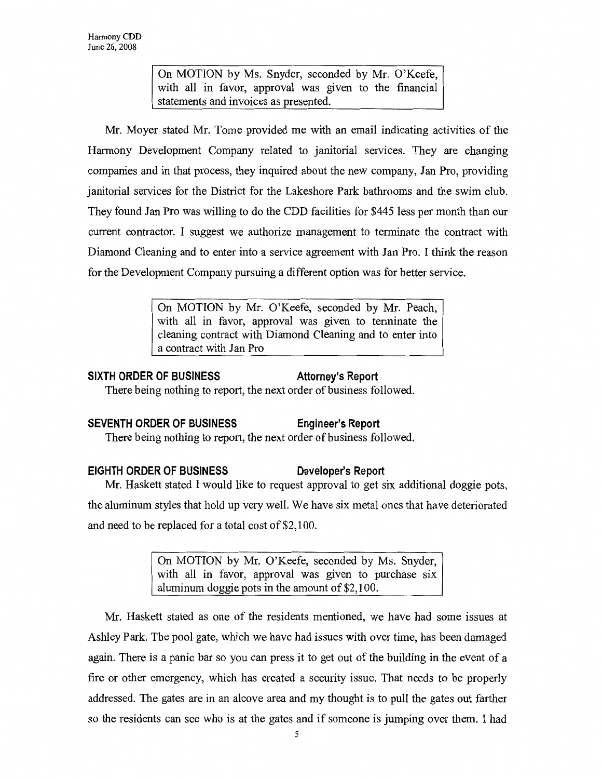On MOTION by Ms. Snyder, seconded by Mr. O'Keefe, with all in favor, approval was given to the financial statements and invoices as presented.

Mr. Moyer stated Mr. Tome provided me with an email indicating activities of the Harmony Development Company related to janitorial services. They are changing companies and in that process, they inquired about the new company, Jan Pro, providing janitorial services for the District for the Lakeshore Park bathrooms and the swim club. They found Jan Pro was willing to do the CDD facilities for \$445 less per month than our current contractor. I suggest we authorize management to terminate the contract with Diamond Cleaning and to enter into a service agreement with Jan Pro. I think the reason for the Development Company pursuing a different option was for better service.

> On MOTION by Mr. O'Keefe, seconded by Mr. Peach, with all in favor, approval was given to terminate the cleaning contract with Diamond Cleaning and to enter into a contract with Jan Pro

#### SIXTH ORDER OF BUSINESS Attorney's Report

There being nothing to report, the next order of business followed.

### **SEVENTH ORDER OF BUSINESS Engineer's Report**

There being nothing to report, the next order of business followed.

### **EIGHTH ORDER OF BUSINESS Developer's Report**

Mr. Haskett stated I would like to request approval to get six additional doggie pots,

the aluminum styles that hold up very well. We have six metal ones that have deteriorated and need to be replaced for a total cost of \$2,100.

> On MOTION by Mr. O'Keefe, seconded by Ms. Snyder, with all in favor, approval was given to purchase six aluminum doggie pots in the amount of \$2,100.

Mr. Haskett stated as one of the residents mentioned, we have had some issues at Ashley Park. The pool gate, which we have had issues with over time, has been damaged again. There is a panic bar so you can press it to get out of the building in the event of a fire or other emergency, which has created a security issue. That needs to be properly addressed. The gates are in an alcove area and my thought is to pull the gates out farther so the residents can see who is at the gates and if someone is jumping over them. I had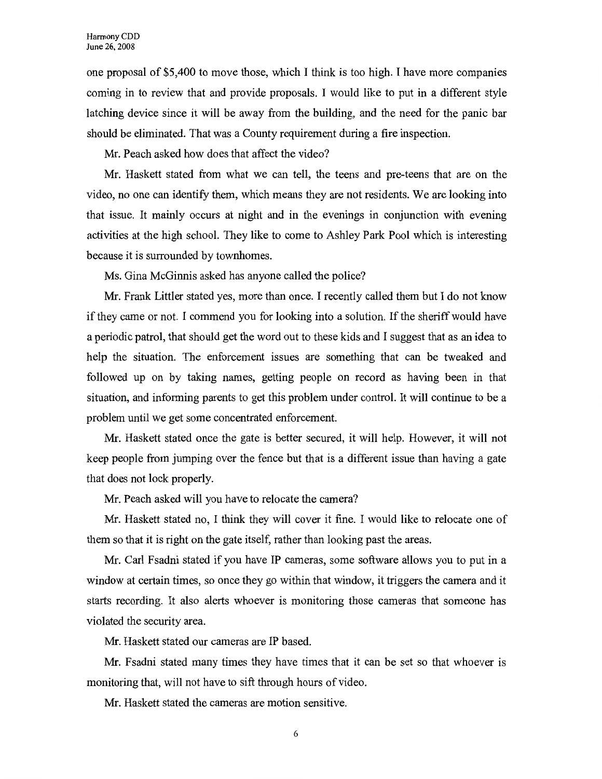one proposal of \$5,400 to move those, which I think is too high. I have more companies coming in to review that and provide proposals. I would like to put in a different style latching device since it will be away from the building, and the need for the panic bar should be eliminated. That was a County requirement during a fire inspection.

Mr. Peach asked how does that affect the video?

Mr. Haskett stated from what we can tell, the teens and pre-teens that are on the video, no one can identify them, which means they are not residents. We are looking into that issue. It mainly occurs at night and in the evenings in conjunction with evening activities at the high school. They like to come to Ashley Park Pool which is interesting because it is surrounded by townhomes.

Ms. Gina McGinnis asked has anyone called the police?

Mr. Frank Littler stated yes, more than once. I recently called them but I do not know if they came or not. I commend you for looking into a solution. If the sheriff would have a periodic patrol, that should get the word out to these kids and I suggest that as an idea to help the situation. The enforcement issues are something that can be tweaked and followed up on by taking names, getting people on record as having been in that situation, and informing parents to get this problem under control. It will continue to be a problem until we get some concentrated enforcement.

**Mr.** Haskett stated once the gate is better secured, it will help. However, it will not keep people from jumping over the fence but that is a different issue than having a gate that does not lock properly.

**Mr.** Peach asked will you have to relocate the camera?

Mr. Haskett stated no, I think they will cover it fine. I would like to relocate one of them so that it is right on the gate itself, rather than looking past the areas.

**Mr.** Carl Fsadni stated if you have IP cameras, some software allows you to put in a window at certain times, so once they go within that window, it triggers the camera and it starts recording. It also alerts whoever is monitoring those cameras that someone has violated the security area.

Mr. Haskett stated our cameras are IP based.

Mr. Fsadni stated many times they have times that it can be set so that whoever is monitoring that, will not have to sift through hours of video.

Mr. Haskett stated the cameras are motion sensitive.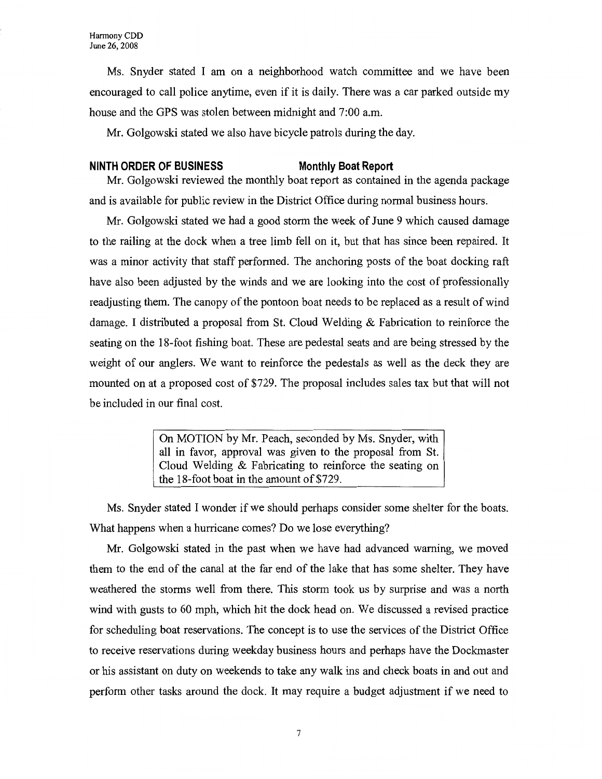Ms. Snyder stated I am on a neighborhood watch committee and we have been encouraged to call police anytime, even if it is daily. There was a car parked outside my house and the GPS was stolen between midnight and 7:00 a.m.

Mr. Golgowski stated we also have bicycle patrols during the day.

#### **NINTH ORDER OF BUSINESS Monthly Boat Report**

Mr. Golgowski reviewed the monthly boat report as contained in the agenda package and is available for public review in the District Office during normal business hours.

Mr. Golgowski stated we had a good storm the week of June 9 which caused damage to the railing at the dock when a tree limb fell on it, but that has since been repaired. It was a minor activity that staff performed. The anchoring posts of the boat docking raft have also been adjusted by the winds and we are looking into the cost of professionally readjusting them. The canopy of the pontoon boat needs to be replaced as a result of wind damage. I distributed a proposal from St. Cloud Welding & Fabrication to reinforce the seating on the 18-foot fishing boat. These are pedestal seats and are being stressed by the weight of our anglers. We want to reinforce the pedestals as well as the deck they are mounted on at a proposed cost of \$729. The proposal includes sales tax but that will not be included in our final cost.

> On MOTION by Mr. Peach, seconded by Ms. Snyder, with all in favor, approval was given to the proposal from St. Cloud Welding & Fabricating to reinforce the seating on the 18-foot boat in the amount of\$729.

Ms. Snyder stated I wonder if we should perhaps consider some shelter for the boats. What happens when a hurricane comes? Do we lose everything?

Mr. Golgowski stated in the past when we have had advanced warning, we moved them to the end of the canal at the far end of the lake that has some shelter. They have weathered the storms well from there. This storm took us by surprise and was a north wind with gusts to 60 mph, which hit the dock head on. We discussed a revised practice for scheduling boat reservations. The concept is to use the services of the District Office to receive reservations during weekday business hours and perhaps have the Dockmaster or his assistant on duty on weekends to take any walk ins and check boats in and out and perform other tasks around the dock. It may require a budget adjustment if we need to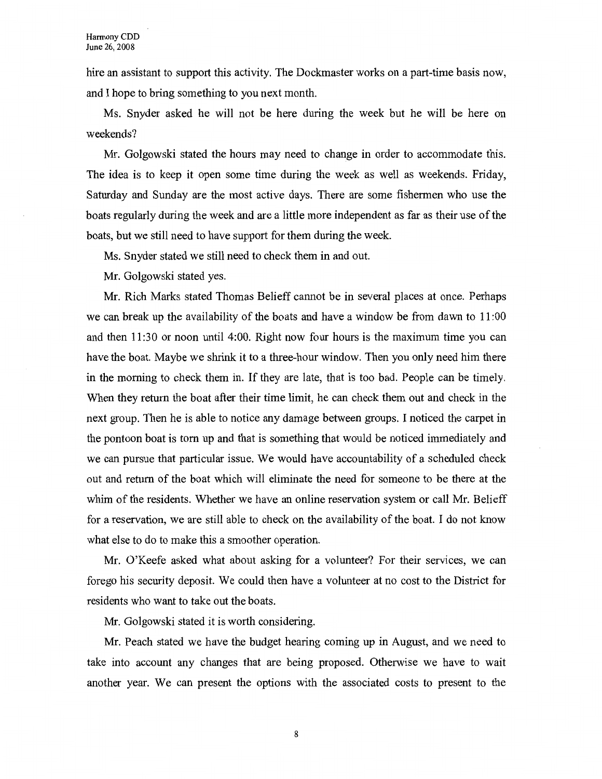hire an assistant to support this activity. The Dockmaster works on a part-time basis now, and I hope to bring something to you next month.

Ms. Snyder asked he will not be here during the week but he will be here on weekends?

Mr. Golgowski stated the hours may need to change in order to accommodate this. The idea is to keep it open some time during the week as well as weekends. Friday, Saturday and Sunday are the most active days. There are some fishermen who use the boats regularly during the week and are a little more independent as far as their use of the boats, but we still need to have support for them during the week.

Ms. Snyder stated we still need to check them in and out.

Mr. Golgowski stated yes.

Mr. Rich Marks stated Thomas Belieff cannot be in several places at once. Perhaps we can break up the availability of the boats and have a window be from dawn to 11:00 and then 11:30 or noon until 4:00. Right now four hours is the maximum time you can have the boat. Maybe we shrink it to a three-hour window. Then you only need him there in the morning to check them in. If they are late, that is too bad. People can be timely. When they return the boat after their time limit, he can check them out and check in the next group. Then he is able to notice any damage between groups. I noticed the carpet in the pontoon boat is tom up and that is something that would be noticed immediately and we can pursue that particular issue. We would have accountability of a scheduled check out and return of the boat which will eliminate the need for someone to be there at the whim of the residents. Whether we have an online reservation system or call Mr. Belieff for a reservation, we are still able to check on the availability of the boat. I do not know what else to do to make this a smoother operation.

Mr. O'Keefe asked what about asking for a volunteer? For their services, we can forego his security deposit. We could then have a volunteer at no cost to the District for residents who want to take out the boats.

Mr. Golgowski stated it is worth considering.

Mr. Peach stated we have the budget hearing coming up in August, and we need to take into account any changes that are being proposed. Otherwise we have to wait another year. We can present the options with the associated costs to present to the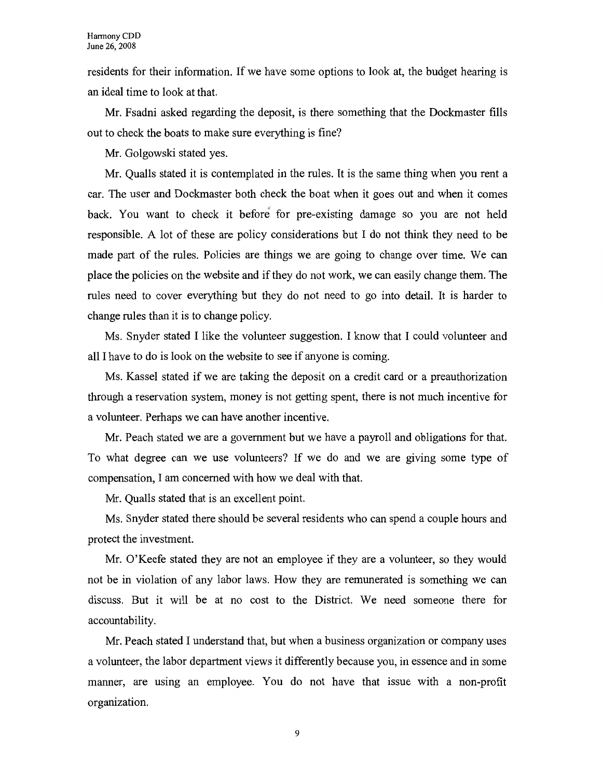residents for their information. If we have some options to look at, the budget hearing is an ideal time to look at that.

Mr. Fsadni asked regarding the deposit, is there something that the Dockmaster fills out to check the boats to make sure everything is fine?

Mr. Golgowski stated yes.

Mr. Qualls stated it is contemplated in the rules. It is the same thing when you rent a car. The user and Dockmaster both check the boat when it goes out and when it comes back. You want to check it before for pre-existing damage so you are not held responsible. A lot of these are policy considerations but I do not think they need to be made part of the rules. Policies are things we are going to change over time. We can place the policies on the website and if they do not work, we can easily change them. The rules need to cover everything but they do not need to go into detail. It is harder to change rules than it is to change policy.

Ms. Snyder stated I like the volunteer suggestion. I know that I could volunteer and all I have to do is look on the website to see if anyone is coming.

Ms. Kassel stated if we are taking the deposit on a credit card or a preauthorization through a reservation system, money is not getting spent, there is not much incentive for a volunteer. Perhaps we can have another incentive.

Mr. Peach stated we are a government but we have a payroll and obligations for that. To what degree can we use volunteers? If we do and we are giving some type of compensation, I am concerned with how we deal with that.

Mr. Qualls stated that is an excellent point.

Ms. Snyder stated there should be several residents who can spend a couple hours and protect the investment.

Mr. O'Keefe stated they are not an employee if they are a volunteer, so they would not be in violation of any labor laws. How they are remunerated is something we can discuss. But it will be at no cost to the District. We need someone there for accountability.

Mr. Peach stated I understand that, but when a business organization or company uses a volunteer, the labor department views it differently because you, in essence and in some manner, are using an employee. You do not have that issue with a non-profit organization.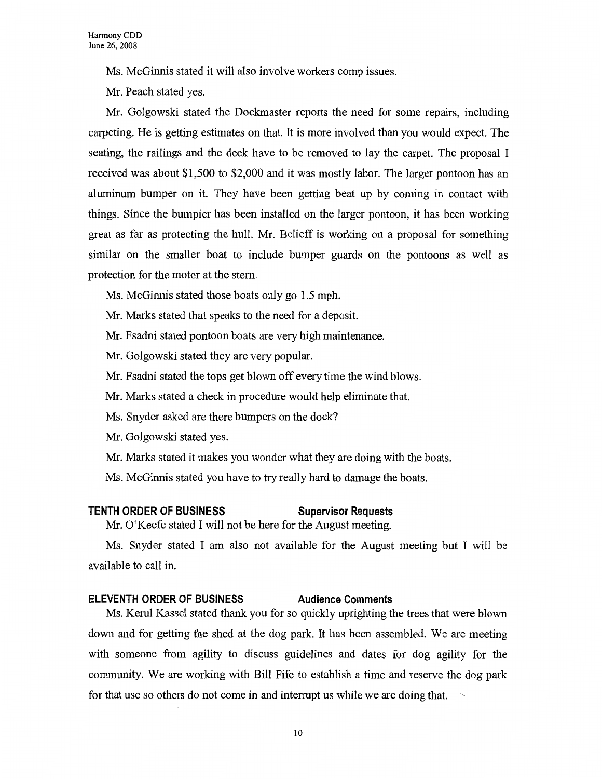Ms. McGinnis stated it will also involve workers comp issues.

Mr. Peach stated yes.

Mr. Golgowski stated the Dockmaster reports the need for some repairs, including carpeting. He is getting estimates on that. It is more involved than you would expect. The seating, the railings and the deck have to be removed to lay the carpet. The proposal I received was about \$1,500 to \$2,000 and it was mostly labor. The larger pontoon has an aluminum bumper on it. They have been getting beat up by coming in contact with things. Since the bumpier has been installed on the larger pontoon, it has been working great as far as protecting the hull. Mr. Belieff is working on a proposal for something similar on the smaller boat to include bumper guards on the pontoons as well as protection for the motor at the stem.

- Ms. McGinnis stated those boats only go 1.5 mph.
- Mr. Marks stated that speaks to the need for a deposit.
- Mr. Fsadni stated pontoon boats are very high maintenance.
- Mr. Golgowski stated they are very popular.
- Mr. Fsadni stated the tops get blown off every time the wind blows.
- Mr. Marks stated a check in procedure would help eliminate that.
- Ms. Snyder asked are there bumpers on the dock?
- Mr. Golgowski stated yes.
- Mr. Marks stated it makes you wonder what they are doing with the boats.
- Ms. McGinnis stated you have to try really hard to damage the boats.

#### **TENTH ORDER OF BUSINESS Supervisor Requests**

Mr. O'Keefe stated I will not be here for the August meeting.

Ms. Snyder stated I am also not available for the August meeting but I will be available to call in.

#### **ELEVENTH ORDER OF BUSINESS Audience Comments**

Ms. Kerul Kassel stated thank you for so quickly uprighting the trees that were blown down and for getting the shed at the dog park. It has been assembled. We are meeting with someone from agility to discuss guidelines and dates for dog agility for the community. We are working with Bill Fife to establish a time and reserve the dog park for that use so others do not come in and interrupt us while we are doing that.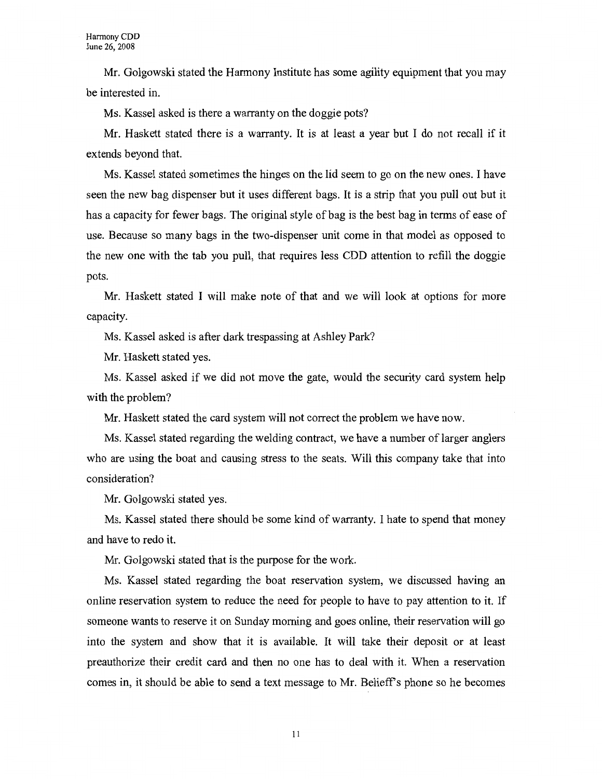Mr. Golgowski stated the Harmony Institute has some agility equipment that you may be interested in.

Ms. Kassel asked is there a warranty on the doggie pots?

Mr. Haskett stated there is a warranty. It is at least a year but I do not recall if it extends beyond that.

Ms. Kassel stated sometimes the hinges on the lid seem to go on the new ones. I have seen the new bag dispenser but it uses different bags. It is a strip that you pull out but it has a capacity for fewer bags. The original style of bag is the best bag in terms of ease of use. Because so many bags in the two-dispenser unit come in that model as opposed to the new one with the tab you pull, that requires less CDD attention to refill the doggie pots.

Mr. Haskett stated I will make note of that and we will look at options for more capacity.

Ms. Kassel asked is after dark trespassing at Ashley Park?

Mr. Haskett stated yes.

Ms. Kassel asked if we did not move the gate, would the security card system help with the problem?

Mr. Haskett stated the card system will not correct the problem we have now.

Ms. Kassel stated regarding the welding contract, we have a number of larger anglers who are using the boat and causing stress to the seats. Will this company take that into consideration?

Mr. Golgowski stated yes.

Ms. Kassel stated there should be some kind of warranty. I hate to spend that money and have to redo it.

Mr. Golgowski stated that is the purpose for the work.

Ms. Kassel stated regarding the boat reservation system, we discussed having an online reservation system to reduce the need for people to have to pay attention to it. If someone wants to reserve it on Sunday morning and goes online, their reservation will go into the system and show that it is available. It will take their deposit or at least preauthorize their credit card and then no one has to deal with it. When a reservation comes in, it should be able to send a text message to Mr. Belieff's phone so he becomes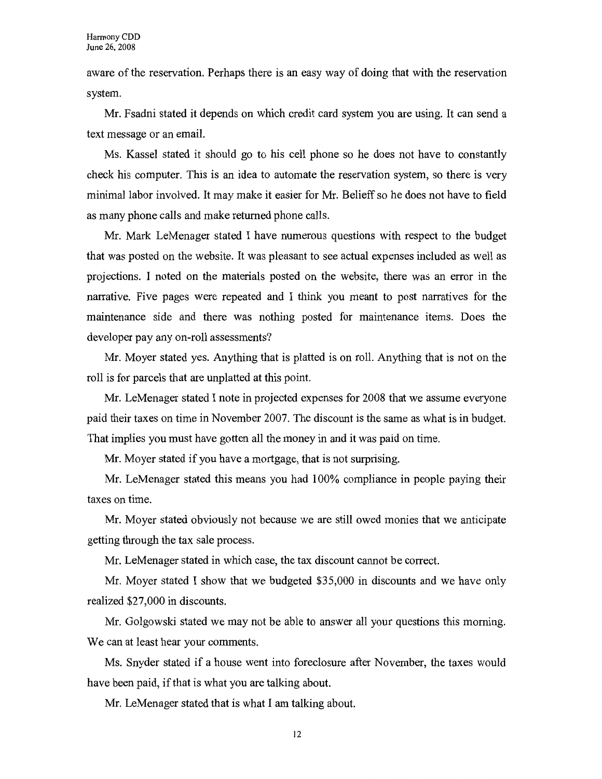aware of the reservation. Perhaps there is an easy way of doing that with the reservation system.

Mr. Fsadni stated it depends on which credit card system you are using. It can send a text message or an email.

Ms. Kassel stated it should go to his cell phone so he does not have to constantly check his computer. This is an idea to automate the reservation system, so there is very minimal labor involved. It may make it easier for Mr. Belieff so he does not have to field as many phone calls and make returned phone calls.

Mr. Mark LeMenager stated I have numerous questions with respect to the budget that was posted on the website. It was pleasant to see actual expenses included as well as projections. I noted on the materials posted on the website, there was an error in the narrative. Five pages were repeated and I think you meant to post narratives for the maintenance side and there was nothing posted for maintenance items. Does the developer pay any on-roll assessments?

Mr. Moyer stated yes. Anything that is platted is on roll. Anything that is not on the roll is for parcels that are unplatted at this point.

Mr. LeMenager stated I note in projected expenses for 2008 that we assume everyone paid their taxes on time in November 2007. The discount is the same as what is in budget. That implies you must have gotten all the money in and it was paid on time.

Mr. Moyer stated if you have a mortgage, that is not surprising.

Mr. LeMenager stated this means you had 100% compliance in people paying their taxes on time.

Mr. Moyer stated obviously not because we are still owed monies that we anticipate getting through the tax sale process.

Mr. LeMenager stated in which case, the tax discount cannot be correct.

Mr. Moyer stated I show that we budgeted \$35,000 in discounts and we have only realized \$27,000 in discounts.

Mr. Golgowski stated we may not be able to answer all your questions this morning. We can at least hear your comments.

Ms. Snyder stated if a house went into foreclosure after November, the taxes would have been paid, if that is what you are talking about.

Mr. LeMenager stated that is what I am talking about.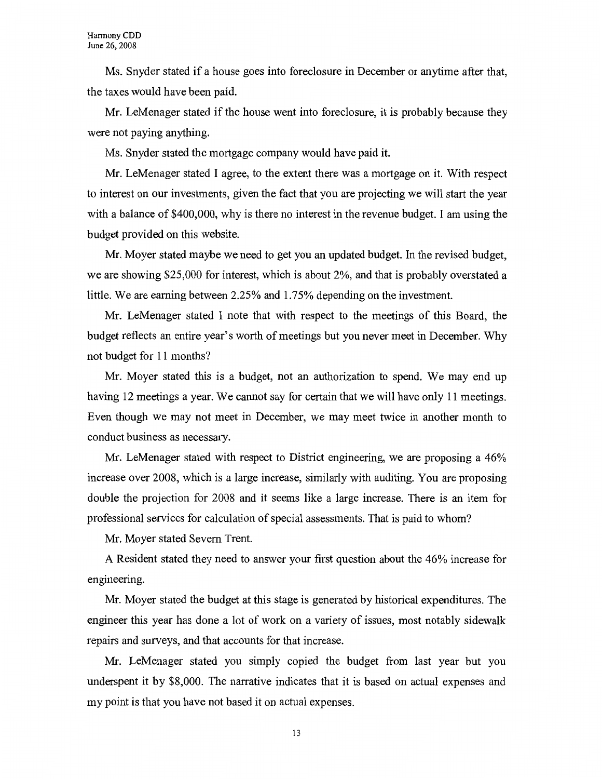Ms. Snyder stated if a house goes into foreclosure in December or anytime after that, the taxes would have been paid.

Mr. LeMenager stated if the house went into foreclosure, it is probably because they were not paying anything.

Ms. Snyder stated the mortgage company would have paid it.

Mr. LeMenager stated I agree, to the extent there was a mortgage on it. With respect to interest on our investments, given the fact that you are projecting we will start the year with a balance of \$400,000, why is there no interest in the revenue budget. I am using the budget provided on this website.

Mr. Moyer stated maybe we need to get you an updated budget. In the revised budget, we are showing \$25,000 for interest, which is about 2%, and that is probably overstated a little. We are earning between 2.25% and 1.75% depending on the investment.

Mr. LeMenager stated I note that with respect to the meetings of this Board, the budget reflects an entire year's worth of meetings but you never meet in December. Why not budget for 11 months?

Mr. Moyer stated this is a budget, not an authorization to spend. We may end up having 12 meetings a year. We cannot say for certain that we will have only 11 meetings. Even though we may not meet in December, we may meet twice in another month to conduct business as necessary.

Mr. LeMenager stated with respect to District engineering, we are proposing a 46% increase over 2008, which is a large increase, similarly with auditing. You are proposing double the projection for 2008 and it seems like a large increase. There is an item for professional services for calculation of special assessments. That is paid to whom?

Mr. Moyer stated Severn Trent.

A Resident stated they need to answer your first question about the 46% increase for engineering.

Mr. Moyer stated the budget at this stage is generated by historical expenditures. The engineer this year has done a lot of work on a variety of issues, most notably sidewalk repairs and surveys, and that accounts for that increase.

Mr. LeMenager stated you simply copied the budget from last year but you underspent it by \$8,000. The narrative indicates that it is based on actual expenses and my point is that you have not based it on actual expenses.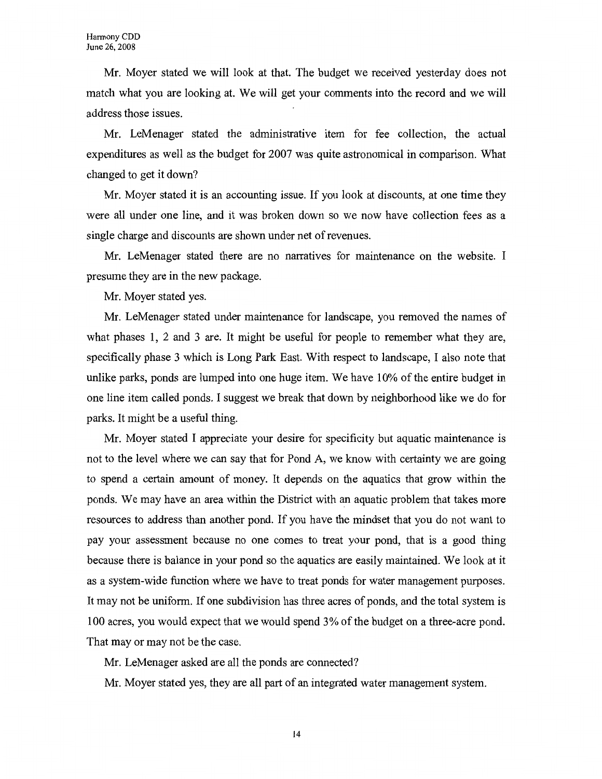Mr. Moyer stated we will look at that. The budget we received yesterday does not match what you are looking at. We will get your comments into the record and we will address those issues.

Mr. LeMenager stated the administrative item for fee collection, the actual expenditures as well as the budget for 2007 was quite astronomical in comparison. What changed to get it down?

Mr. Moyer stated it is an accounting issue. If you look at discounts, at one time they were all under one line, and it was broken down so we now have collection fees as a single charge and discounts are shown under net of revenues.

Mr. LeMenager stated there are no narratives for maintenance on the website. I presume they are in the new package.

Mr. Moyer stated yes.

Mr. LeMenager stated under maintenance for landscape, you removed the names of what phases 1, 2 and 3 are. It might be useful for people to remember what they are, specifically phase 3 which is Long Park East. With respect to landscape, I also note that unlike parks, ponds are lumped into one huge item. We have 10% of the entire budget in one line item called ponds. I suggest we break that down by neighborhood like we do for parks. It might be a useful thing.

Mr. Moyer stated I appreciate your desire for specificity but aquatic maintenance is not to the level where we can say that for Pond A, we know with certainty we are going to spend a certain amount of money. It depends on the aquatics that grow within the ponds. We may have an area within the District with an aquatic problem that takes more resources to address than another pond. If you have the mindset that you do not want to pay your assessment because no one comes to treat your pond, that is a good thing because there is balance in your pond so the aquatics are easily maintained. We look at it as a system-wide function where we have to treat ponds for water management purposes. It may not be uniform. If one subdivision has three acres of ponds, and the total system is 100 acres, you would expect that we would spend 3% of the budget on a three-acre pond. That may or may not be the case.

Mr. LeMenager asked are all the ponds are connected?

Mr. Moyer stated yes, they are all part of an integrated water management system.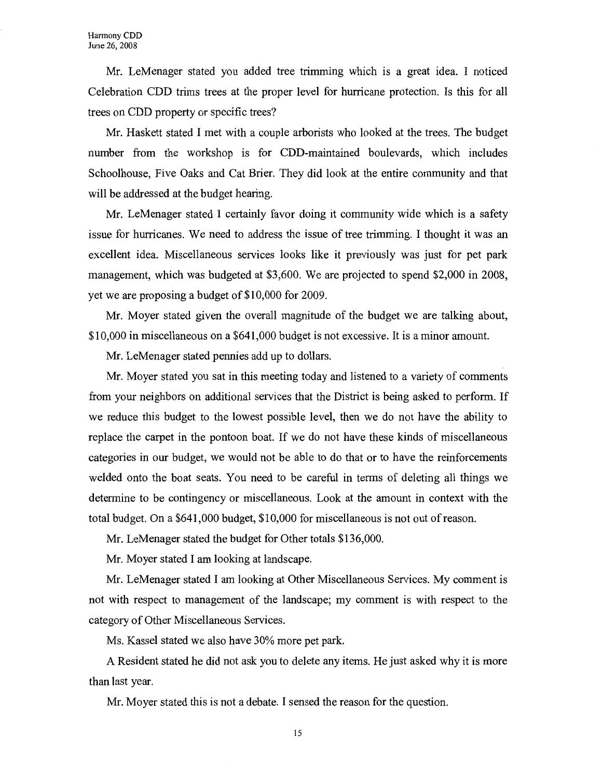Mr. LeMenager stated you added tree trimming which is a great idea. I noticed Celebration CDD trims trees at the proper level for hurricane protection. Is this for all trees on CDD property or specific trees?

Mr. Haskett stated I met with a couple arborists who looked at the trees. The budget number from the workshop is for COD-maintained boulevards, which includes Schoolhouse, Five Oaks and Cat Brier. They did look at the entire community and that will be addressed at the budget hearing.

Mr. LeMenager stated I certainly favor doing it community wide which is a safety issue for hurricanes. We need to address the issue of tree trimming. I thought it was an excellent idea. Miscellaneous services looks like it previously was just for pet park management, which was budgeted at \$3,600. We are projected to spend \$2,000 in 2008, yet we are proposing a budget of \$10,000 for 2009.

Mr. Moyer stated given the overall magnitude of the budget we are talking about, \$10,000 in miscellaneous on a \$641,000 budget is not excessive. It is a minor amount.

Mr. LeMenager stated pennies add up to dollars.

Mr. Moyer stated you sat in this meeting today and listened to a variety of comments from your neighbors on additional services that the District is being asked to perform. If we reduce this budget to the lowest possible level, then we do not have the ability to replace the carpet in the pontoon boat. If we do not have these kinds of miscellaneous categories in our budget, we would not be able to do that or to have the reinforcements welded onto the boat seats. You need to be careful in terms of deleting all things we determine to be contingency or miscellaneous. Look at the amount in context with the total budget. On a \$641,000 budget, \$10,000 for miscellaneous is not out of reason.

Mr. LeMenager stated the budget for Other totals \$136,000.

Mr. Moyer stated I am looking at landscape.

Mr. LeMenager stated I am looking at Other Miscellaneous Services. My comment is not with respect to management of the landscape; my comment is with respect to the category of Other Miscellaneous Services.

Ms. Kassel stated we also have 30% more pet park.

A Resident stated he did not ask you to delete any items. He just asked why it is more than last year.

Mr. Moyer stated this is not a debate. I sensed the reason for the question.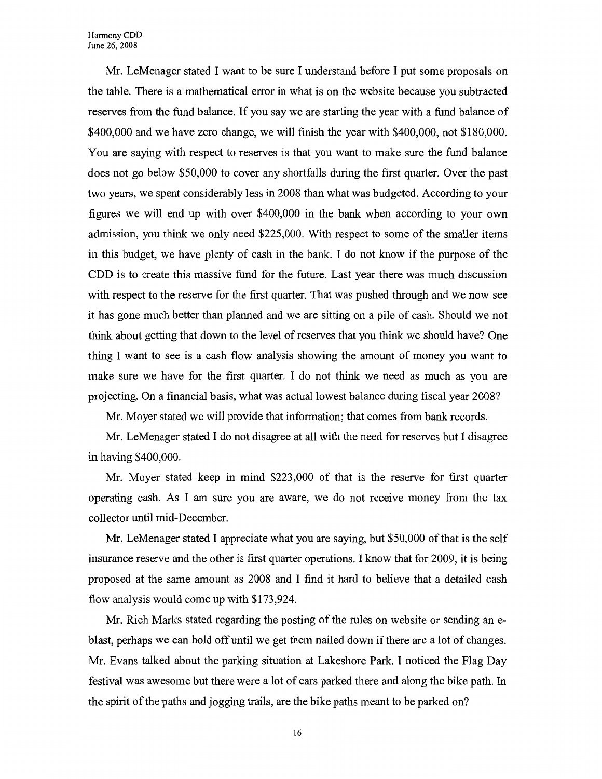Harmony CDD June 26, 2008

Mr. LeMenager stated I want to be sure I understand before I put some proposals on the table. There is a mathematical error in what is on the website because you subtracted reserves from the fund balance. If you say we are starting the year with a fund balance of \$400,000 and we have zero change, we will finish the year with \$400,000, not \$180,000. You are saying with respect to reserves is that you want to make sure the fund balance does not go below \$50,000 to cover any shortfalls during the first quarter. Over the past two years, we spent considerably less in 2008 than what was budgeted. According to your figures we will end up with over \$400,000 in the bank when according to your own admission, you think we only need \$225,000. With respect to some of the smaller items in this budget, we have plenty of cash in the bank. I do not know if the purpose of the CDD is to create this massive fund for the future. Last year there was much discussion with respect to the reserve for the first quarter. That was pushed through and we now see it has gone much better than planned and we are sitting on a pile of cash. Should we not think about getting that down to the level of reserves that you think we should have? One thing I want to see is a cash flow analysis showing the amount of money you want to make sure we have for the first quarter. I do not think we need as much as you are projecting. On a financial basis, what was actual lowest balance during fiscal year 2008?

Mr. Moyer stated we will provide that information; that comes from bank records.

Mr. LeMenager stated I do not disagree at all with the need for reserves but I disagree in having \$400,000.

Mr. Moyer stated keep in mind \$223,000 of that is the reserve for first quarter operating cash. As I am sure you are aware, we do not receive money from the tax collector until mid-December.

Mr. LeMenager stated I appreciate what you are saying, but \$50,000 of that is the self insurance reserve and the other is first quarter operations. I know that for 2009, it is being proposed at the same amount as 2008 and I find it hard to believe that a detailed cash flow analysis would come up with \$173,924.

Mr. Rich Marks stated regarding the posting of the rules on website or sending an eblast, perhaps we can hold off until we get them nailed down if there are a lot of changes. Mr. Evans talked about the parking situation at Lakeshore Park. I noticed the Flag Day festival was awesome but there were a lot of cars parked there and along the bike path. In the spirit of the paths and jogging trails, are the bike paths meant to be parked on?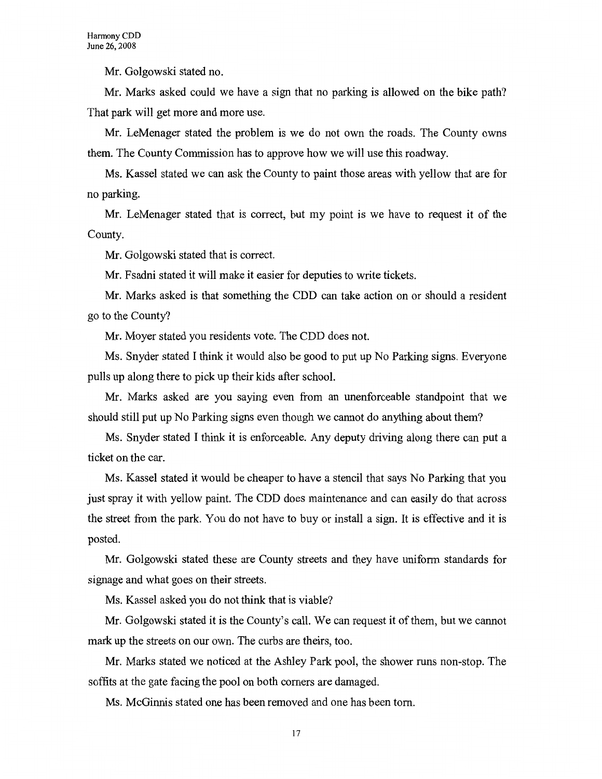Mr. Golgowski stated no.

Mr. Marks asked could we have a sign that no parking is allowed on the bike path? That park will get more and more use.

Mr. LeMenager stated the problem is we do not own the roads. The County owns them. The County Commission has to approve how we will use this roadway.

Ms. Kassel stated we can ask the County to paint those areas with yellow that are for no parking.

Mr. LeMenager stated that is correct, but my point is we have to request it of the County.

Mr. Golgowski stated that is correct.

Mr. Fsadni stated it will make it easier for deputies to write tickets.

Mr. Marks asked is that something the CDD can take action on or should a resident go to the County?

Mr. Moyer stated you residents vote. The CDD does not.

Ms. Snyder stated I think it would also be good to put up No Parking signs. Everyone pulls up along there to pick up their kids after school.

Mr. Marks asked are you saying even from an unenforceable standpoint that we should still put up No Parking signs even though we cannot do anything about them?

Ms. Snyder stated I think it is enforceable. Any deputy driving along there can put a ticket on the car.

Ms. Kassel stated it would be cheaper to have a stencil that says No Parking that you just spray it with yellow paint. The CDD does maintenance and can easily do that across the street from the park. You do not have to buy or install a sign. It is effective and it is posted.

Mr. Golgowski stated these are County streets and they have uniform standards for signage and what goes on their streets.

Ms. Kassel asked you do not think that is viable?

Mr. Golgowski stated it is the County's call. We can request it of them, but we cannot mark up the streets on our own. The curbs are theirs, too.

Mr. Marks stated we noticed at the Ashley Park pool, the shower runs non-stop. The soffits at the gate facing the pool on both comers are damaged.

Ms. McGinnis stated one has been removed and one has been tom.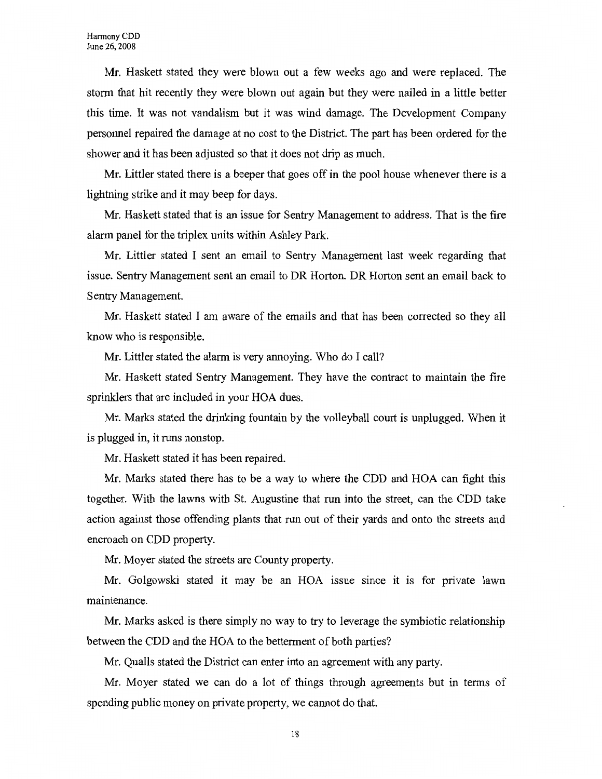Mr. Haskett stated they were blown out a few weeks ago and were replaced. The storm that hit recently they were blown out again but they were nailed in a little better this time. It was not vandalism but it was wind damage. The Development Company personnel repaired the damage at no cost to the District. The part has been ordered for the shower and it has been adjusted so that it does not drip as much.

Mr. Littler stated there is a beeper that goes off in the pool house whenever there is a lightning strike and it may beep for days.

Mr. Haskett stated that is an issue for Sentry Management to address. That is the fire alarm panel for the triplex units within Ashley Park.

Mr. Littler stated I sent an email to Sentry Management last week regarding that issue. Sentry Management sent an email to DR Horton. DR Horton sent an email back to Sentry Management.

Mr. Haskett stated I am aware of the emails and that has been corrected so they all know who is responsible.

Mr. Littler stated the alarm is very annoying. Who do I call?

Mr. Haskett stated Sentry Management. They have the contract to maintain the fire sprinklers that are included in your HOA dues.

Mr. Marks stated the drinking fountain by the volleyball court is unplugged. When it is plugged in, it runs nonstop.

Mr. Haskett stated it has been repaired.

Mr. Marks stated there has to be a way to where the CDD and HOA can fight this together. With the lawns with St. Augustine that run into the street, can the CDD take action against those offending plants that run out of their yards and onto the streets and encroach on CDD property.

Mr. Moyer stated the streets are County property.

Mr. Golgowski stated it may be an HOA issue since it is for private lawn maintenance.

Mr. Marks asked is there simply no way to try to leverage the symbiotic relationship between the CDD and the HOA to the betterment of both parties?

Mr. Qualls stated the District can enter into an agreement with any party.

Mr. Moyer stated we can do a lot of things through agreements but in terms of spending public money on private property, we cannot do that.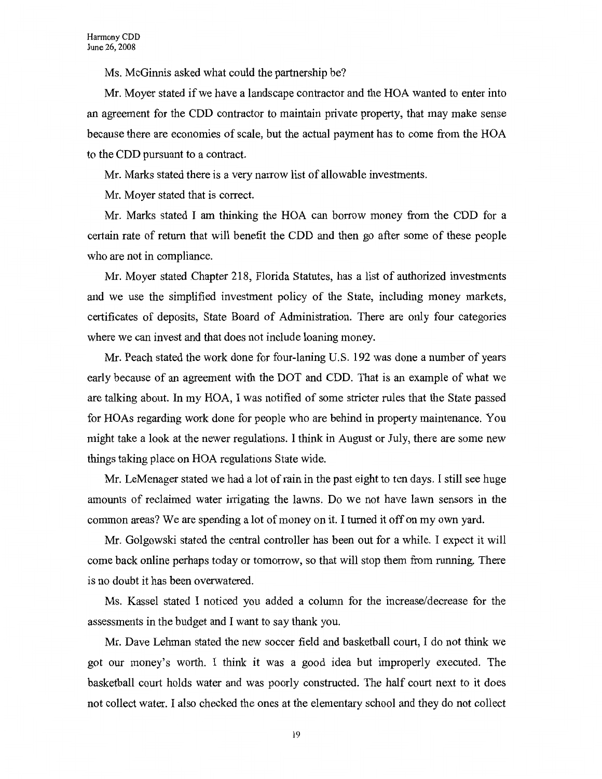Ms. McGinnis asked what could the partnership be?

Mr. Moyer stated if we have a landscape contractor and the HOA wanted to enter into an agreement for the CDD contractor to maintain private property, that may make sense because there are economies of scale, but the actual payment has to come from the HOA to the CDD pursuant to a contract.

Mr. Marks stated there is a very narrow list of allowable investments.

Mr. Moyer stated that is correct.

Mr. Marks stated I am thinking the HOA can borrow money from the CDD for a certain rate of return that will benefit the CDD and then go after some of these people who are not in compliance.

Mr. Moyer stated Chapter 218, Florida Statutes, has a list of authorized investments and we use the simplified investment policy of the State, including money markets, certificates of deposits, State Board of Administration. There are only four categories where we can invest and that does not include loaning money.

Mr. Peach stated the work done for four-laning U.S. 192 was done a number of years early because of an agreement with the DOT and CDD. That is an example of what we are talking about. In my HOA, I was notified of some stricter rules that the State passed for HOAs regarding work done for people who are behind in property maintenance. You might take a look at the newer regulations. I think in August or July, there are some new things taking place on HOA regulations State wide.

Mr. LeMenager stated we had a lot of rain in the past eight to ten days. I still see huge amounts of reclaimed water irrigating the lawns. Do we not have lawn sensors in the common areas? We are spending a lot of money on it. I turned it off on my own yard.

Mr. Golgowski stated the central controller has been out for a while. I expect it will come back online perhaps today or tomorrow, so that will stop them from running. There is no doubt it has been overwatered.

Ms. Kassel stated I noticed you added a column for the increase/decrease for the assessments in the budget and I want to say thank you.

Mr. Dave Lehman stated the new soccer field and basketball court, I do not think we got our money's worth. I think it was a good idea but improperly executed. The basketball court holds water and was poorly constructed. The half court next to it does not collect water. I also checked the ones at the elementary school and they do not collect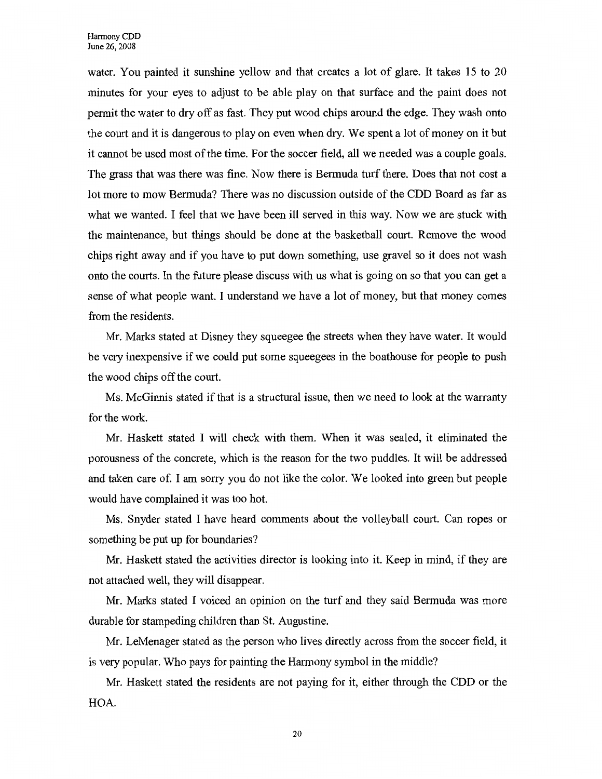water. You painted it sunshine yellow and that creates a lot of glare. It takes 15 to 20 minutes for your eyes to adjust to be able play on that surface and the paint does not permit the water to dry off as fast. They put wood chips around the edge. They wash onto the court and it is dangerous to play on even when dry. We spent a lot of money on it but it cannot be used most of the time. For the soccer field, all we needed was a couple goals. The grass that was there was fine. Now there is Bermuda turf there. Does that not cost a lot more to mow Bermuda? There was no discussion outside of the CDD Board as far as what we wanted. I feel that we have been ill served in this way. Now we are stuck with the maintenance, but things should be done at the basketball court. Remove the wood chips right away and if you have to put down something, use gravel so it does not wash onto the courts. In the future please discuss with us what is going on so that you can get a sense of what people want. I understand we have a lot of money, but that money comes from the residents.

Mr. Marks stated at Disney they squeegee the streets when they have water. It would be very inexpensive if we could put some squeegees in the boathouse for people to push the wood chips off the court.

Ms. McGinnis stated if that is a structural issue, then we need to look at the warranty for the work.

Mr. Haskett stated I will check with them. When it was sealed, it eliminated the porousness of the concrete, which is the reason for the two puddles. It will be addressed and taken care of. I am sorry you do not like the color. We looked into green but people would have complained it was too hot.

Ms. Snyder stated I have heard comments about the volleyball court. Can ropes or something be put up for boundaries?

Mr. Haskett stated the activities director is looking into it. Keep in mind, if they are not attached well, they will disappear.

Mr. Marks stated I voiced an opinion on the turf and they said Bermuda was more durable for stampeding children than St. Augustine.

Mr. LeMenager stated as the person who lives directly across from the soccer field, it is very popular. Who pays for painting the Harmony symbol in the middle?

Mr. Haskett stated the residents are not paying for it, either through the CDD or the HOA.